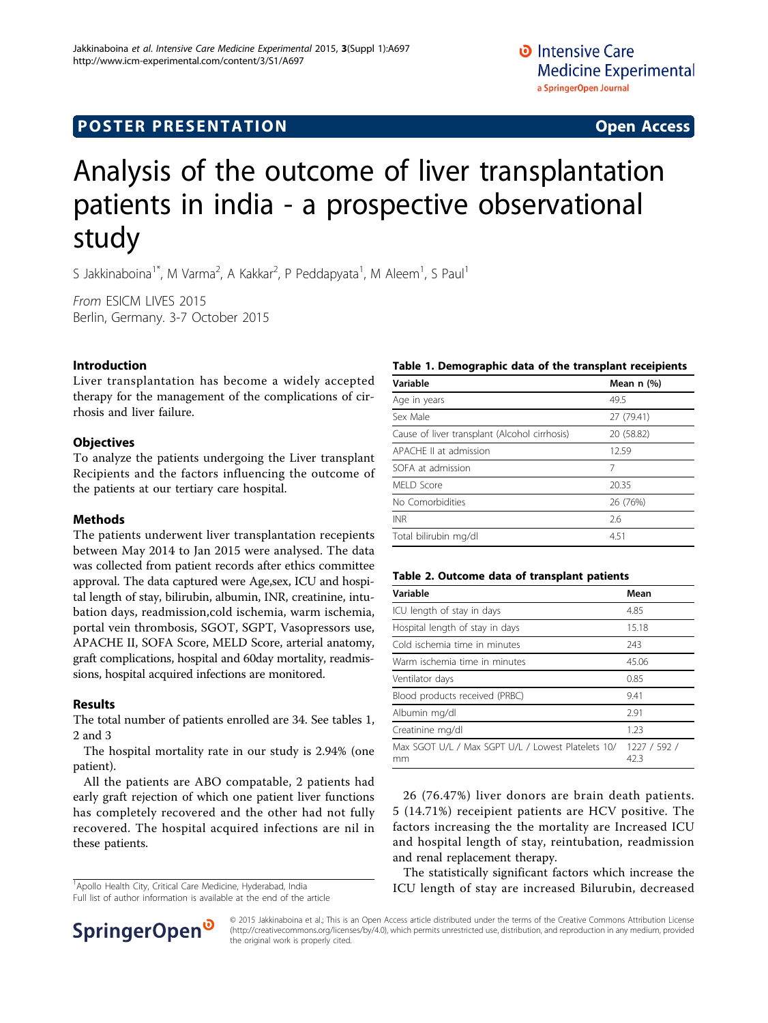## **POSTER PRESENTATION CONSUMING ACCESS**

# Analysis of the outcome of liver transplantation patients in india - a prospective observational study

S Jakkinaboina<sup>1\*</sup>, M Varma<sup>2</sup>, A Kakkar<sup>2</sup>, P Peddapyata<sup>1</sup>, M Aleem<sup>1</sup>, S Paul<sup>1</sup>

From ESICM LIVES 2015 Berlin, Germany. 3-7 October 2015

#### Introduction

Liver transplantation has become a widely accepted therapy for the management of the complications of cirrhosis and liver failure.

#### **Objectives**

To analyze the patients undergoing the Liver transplant Recipients and the factors influencing the outcome of the patients at our tertiary care hospital.

#### **Methods**

The patients underwent liver transplantation recepients between May 2014 to Jan 2015 were analysed. The data was collected from patient records after ethics committee approval. The data captured were Age,sex, ICU and hospital length of stay, bilirubin, albumin, INR, creatinine, intubation days, readmission,cold ischemia, warm ischemia, portal vein thrombosis, SGOT, SGPT, Vasopressors use, APACHE II, SOFA Score, MELD Score, arterial anatomy, graft complications, hospital and 60day mortality, readmissions, hospital acquired infections are monitored.

#### Results

The total number of patients enrolled are 34. See tables 1, 2 and [3](#page-1-0)

The hospital mortality rate in our study is 2.94% (one patient).

All the patients are ABO compatable, 2 patients had early graft rejection of which one patient liver functions has completely recovered and the other had not fully recovered. The hospital acquired infections are nil in these patients.

<sup>1</sup> Apollo Health City, Critical Care Medicine, Hyderabad, India

Full list of author information is available at the end of the article



| Variable                                      | Mean $n$ $(\%)$ |
|-----------------------------------------------|-----------------|
| Age in years                                  | 49.5            |
| Sex Male                                      | 27 (79.41)      |
| Cause of liver transplant (Alcohol cirrhosis) | 20 (58.82)      |
| APACHE II at admission                        | 12.59           |
| SOFA at admission                             | 7               |
| MELD Score                                    | 20.35           |
| No Comorbidities                              | 26 (76%)        |
| <b>INR</b>                                    | 2.6             |
| Total bilirubin mg/dl                         | 4.51            |

#### Table 2. Outcome data of transplant patients

| Variable                                                 | Mean                 |
|----------------------------------------------------------|----------------------|
| ICU length of stay in days                               | 4.85                 |
| Hospital length of stay in days                          | 15.18                |
| Cold ischemia time in minutes                            | 243                  |
| Warm ischemia time in minutes                            | 45.06                |
| Ventilator days                                          | 0.85                 |
| Blood products received (PRBC)                           | 9.41                 |
| Albumin mg/dl                                            | 2.91                 |
| Creatinine mg/dl                                         | 1.23                 |
| Max SGOT U/L / Max SGPT U/L / Lowest Platelets 10/<br>mm | 1227 / 592 /<br>42.3 |

26 (76.47%) liver donors are brain death patients. 5 (14.71%) receipient patients are HCV positive. The factors increasing the the mortality are Increased ICU and hospital length of stay, reintubation, readmission and renal replacement therapy.

The statistically significant factors which increase the ICU length of stay are increased Bilurubin, decreased



© 2015 Jakkinaboina et al.; This is an Open Access article distributed under the terms of the Creative Commons Attribution License [\(http://creativecommons.org/licenses/by/4.0](http://creativecommons.org/licenses/by/4.0)), which permits unrestricted use, distribution, and reproduction in any medium, provided the original work is properly cited.